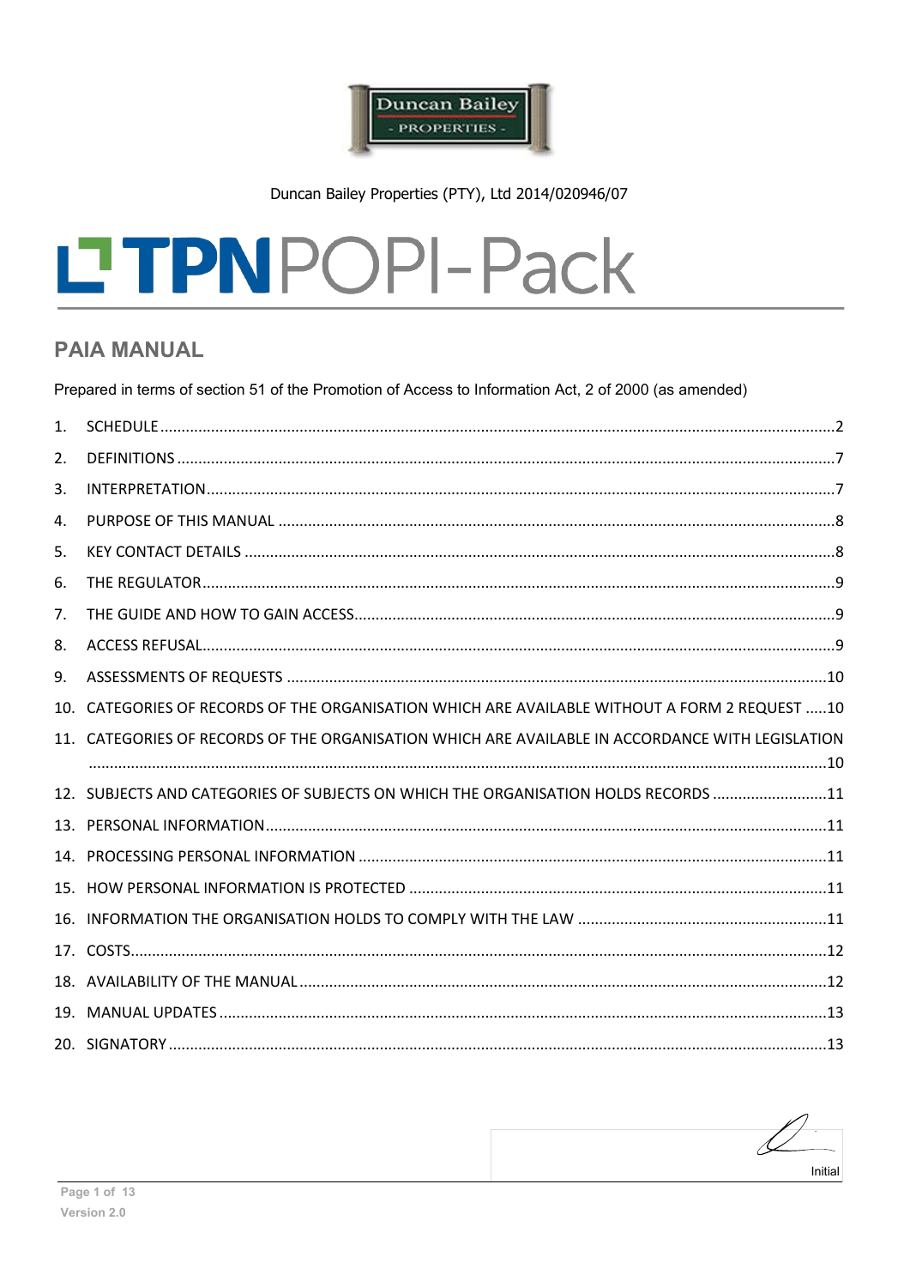

Duncan Bailey Properties (PTY), Ltd 2014/020946/07

# LTPNPOPI-Pack

# **PAIA MANUAL**

Prepared in terms of section 51 of the Promotion of Access to Information Act, 2 of 2000 (as amended)

| 1 <sup>1</sup> |                                                                                                  |  |
|----------------|--------------------------------------------------------------------------------------------------|--|
| 2.             |                                                                                                  |  |
| 3.             |                                                                                                  |  |
| 4.             |                                                                                                  |  |
| 5.             |                                                                                                  |  |
| 6.             |                                                                                                  |  |
| 7.             |                                                                                                  |  |
| 8.             |                                                                                                  |  |
| 9.             |                                                                                                  |  |
|                | 10. CATEGORIES OF RECORDS OF THE ORGANISATION WHICH ARE AVAILABLE WITHOUT A FORM 2 REQUEST 10    |  |
|                | 11. CATEGORIES OF RECORDS OF THE ORGANISATION WHICH ARE AVAILABLE IN ACCORDANCE WITH LEGISLATION |  |
|                |                                                                                                  |  |
|                | 12. SUBJECTS AND CATEGORIES OF SUBJECTS ON WHICH THE ORGANISATION HOLDS RECORDS 11               |  |
|                |                                                                                                  |  |
|                |                                                                                                  |  |
|                |                                                                                                  |  |
|                |                                                                                                  |  |
|                |                                                                                                  |  |
|                |                                                                                                  |  |
|                |                                                                                                  |  |
|                |                                                                                                  |  |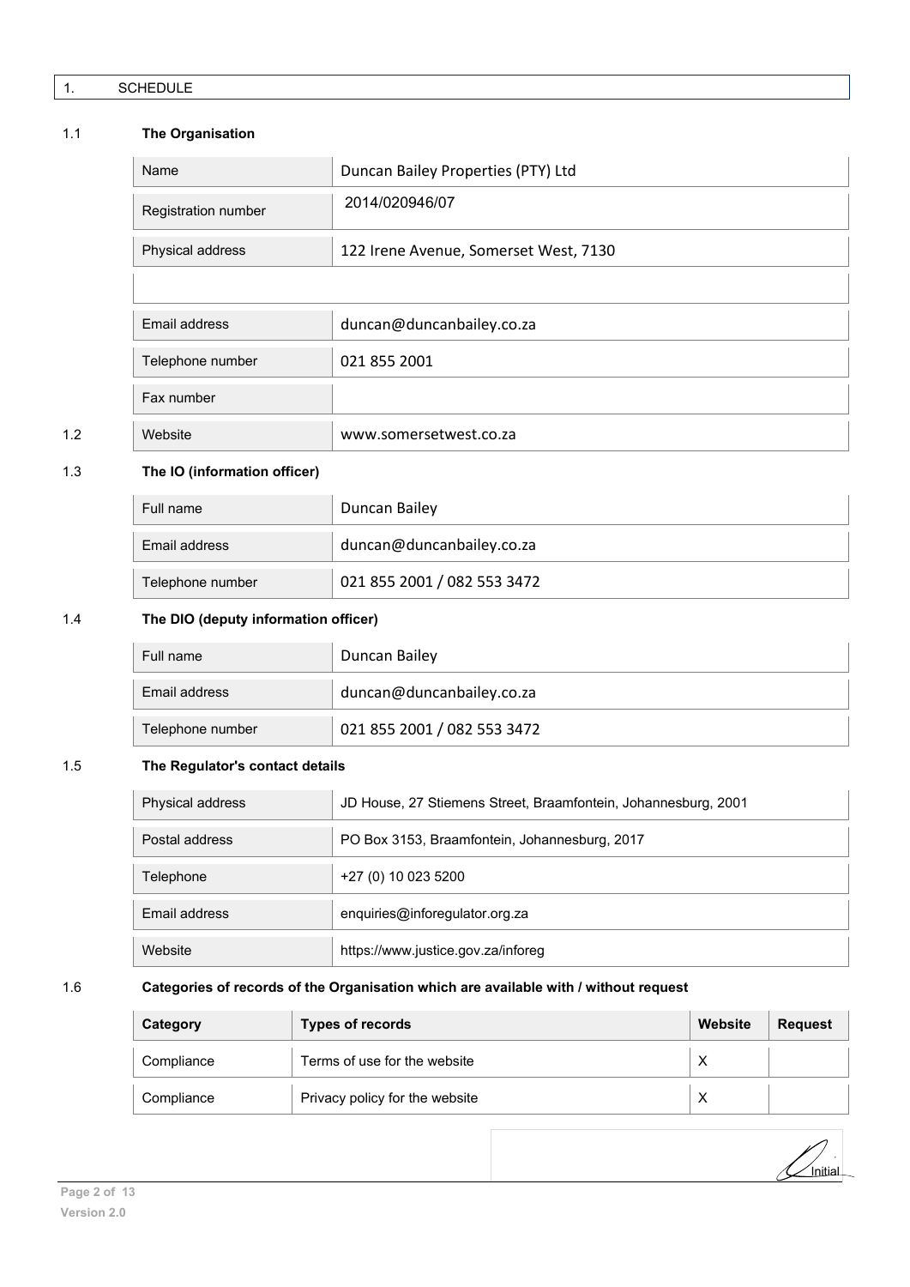<span id="page-1-0"></span>

# 1.1 **The Organisation**

|     | Name                | Duncan Bailey Properties (PTY) Ltd    |
|-----|---------------------|---------------------------------------|
|     | Registration number | 2014/020946/07                        |
|     | Physical address    | 122 Irene Avenue, Somerset West, 7130 |
|     |                     |                                       |
|     | Email address       | duncan@duncanbailey.co.za             |
|     | Telephone number    | 021 855 2001                          |
|     | Fax number          |                                       |
| 1.2 | Website             | www.somersetwest.co.za                |

# 1.3 **The IO (information officer)**

| Full name        | Duncan Bailey               |
|------------------|-----------------------------|
| Email address    | duncan@duncanbailey.co.za   |
| Telephone number | 021 855 2001 / 082 553 3472 |

# 1.4 **The DIO (deputy information officer)**

| Full name        | Duncan Bailey               |
|------------------|-----------------------------|
| Email address    | duncan@duncanbailey.co.za   |
| Telephone number | 021 855 2001 / 082 553 3472 |

# 1.5 **The Regulator's contact details**

| Physical address | JD House, 27 Stiemens Street, Braamfontein, Johannesburg, 2001 |
|------------------|----------------------------------------------------------------|
| Postal address   | PO Box 3153, Braamfontein, Johannesburg, 2017                  |
| Telephone        | +27 (0) 10 023 5200                                            |
| Email address    | enquiries@inforegulator.org.za                                 |
| Website          | https://www.justice.gov.za/inforeg                             |

# 1.6 **Categories of records of the Organisation which are available with / without request**

| Category   | <b>Types of records</b>        | Website | <b>Request</b> |
|------------|--------------------------------|---------|----------------|
| Compliance | Terms of use for the website   | ⌒       |                |
| Compliance | Privacy policy for the website |         |                |

 $\frac{1}{\sqrt{2}}$ Initial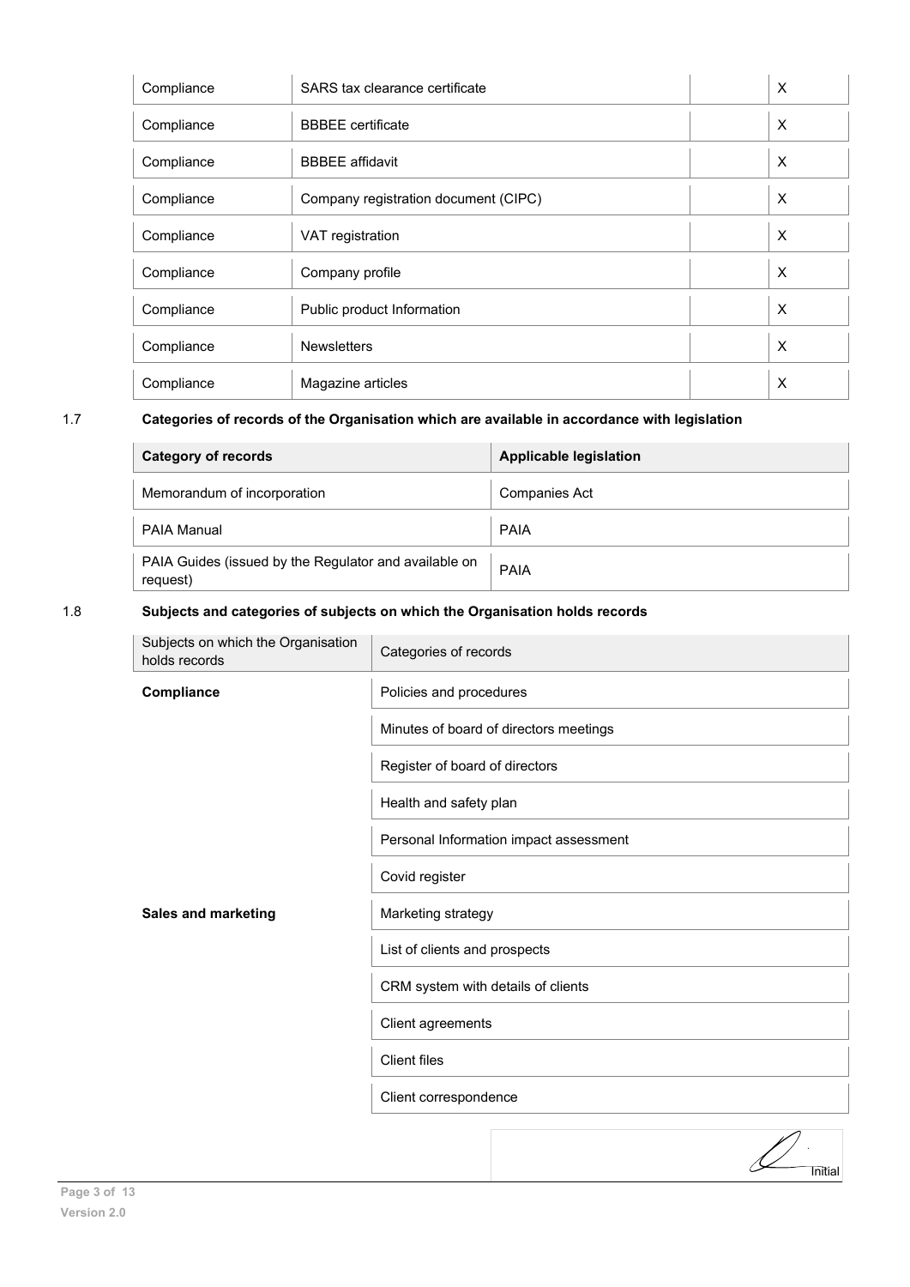| Compliance | SARS tax clearance certificate       | $\times$ |
|------------|--------------------------------------|----------|
| Compliance | <b>BBBEE</b> certificate             | $\times$ |
| Compliance | <b>BBBEE</b> affidavit               | $\times$ |
| Compliance | Company registration document (CIPC) | $\times$ |
| Compliance | VAT registration                     | $\times$ |
| Compliance | Company profile                      | $\times$ |
| Compliance | Public product Information           | $\times$ |
| Compliance | <b>Newsletters</b>                   | $\times$ |
| Compliance | Magazine articles                    | X        |

# 1.7 **Categories of records of the Organisation which are available in accordance with legislation**

| <b>Category of records</b>                                        | <b>Applicable legislation</b> |
|-------------------------------------------------------------------|-------------------------------|
| Memorandum of incorporation                                       | <b>Companies Act</b>          |
| PAIA Manual                                                       | <b>PAIA</b>                   |
| PAIA Guides (issued by the Regulator and available on<br>request) | PAIA                          |

# 1.8 **Subjects and categories of subjects on which the Organisation holds records**

| Subjects on which the Organisation<br>holds records | Categories of records                  |
|-----------------------------------------------------|----------------------------------------|
| Compliance                                          | Policies and procedures                |
|                                                     | Minutes of board of directors meetings |
|                                                     | Register of board of directors         |
|                                                     | Health and safety plan                 |
|                                                     | Personal Information impact assessment |
|                                                     | Covid register                         |
| <b>Sales and marketing</b>                          | Marketing strategy                     |
|                                                     | List of clients and prospects          |
|                                                     | CRM system with details of clients     |
|                                                     | Client agreements                      |
|                                                     | <b>Client files</b>                    |
|                                                     | Client correspondence                  |
|                                                     | Initial                                |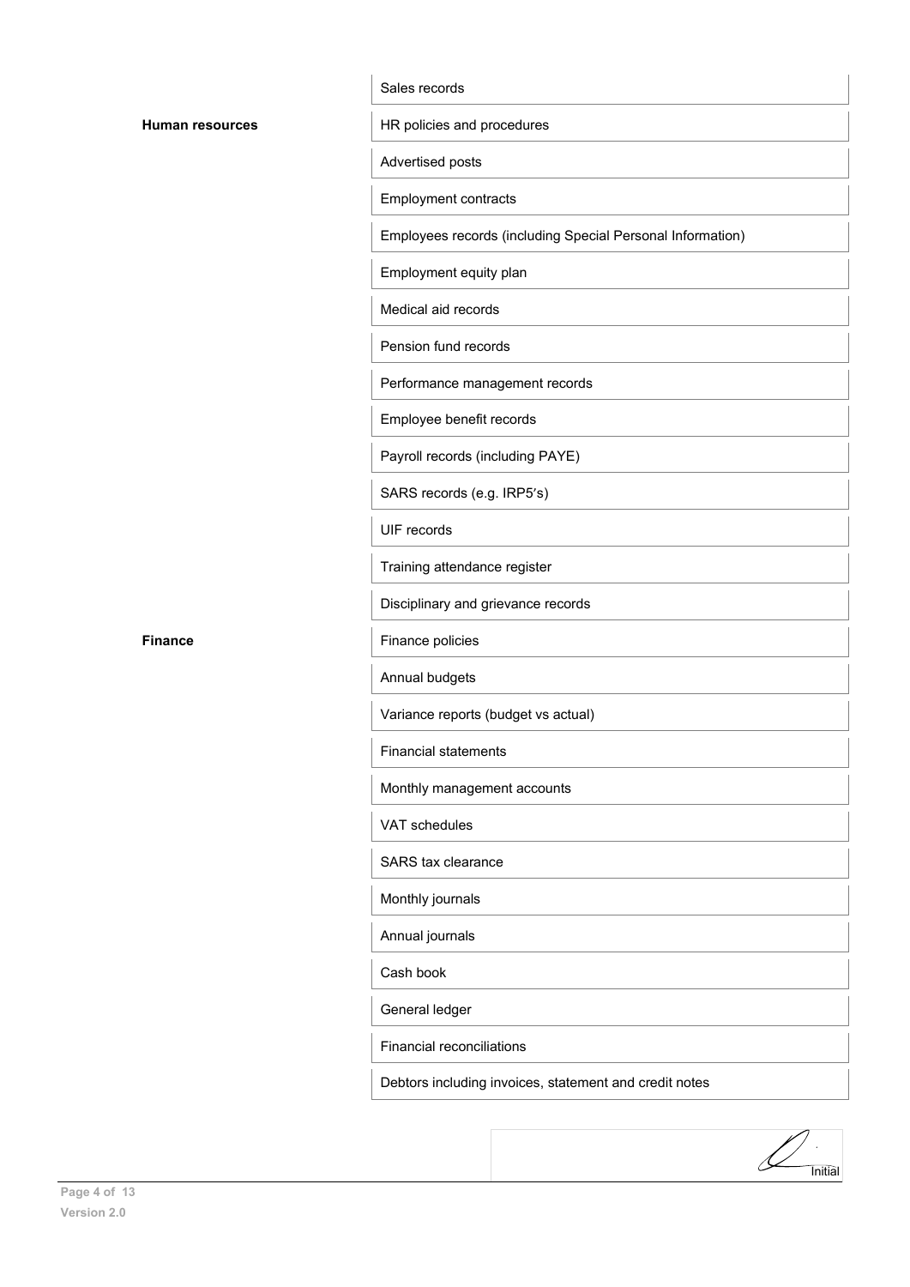#### Sales records

**HR policies and procedures** 

Advertised posts

Employment contracts

Employees records (including Special Personal Information)

Employment equity plan

Medical aid records

Pension fund records

Performance management records

Employee benefit records

Payroll records (including PAYE)

SARS records (e.g. IRP5's)

UIF records

Training attendance register

Disciplinary and grievance records

**Finance** Finance policies

Annual budgets

Variance reports (budget vs actual)

Financial statements

Monthly management accounts

VAT schedules

SARS tax clearance

Monthly journals

Annual journals

Cash book

General ledger

Financial reconciliations

Debtors including invoices, statement and credit notes

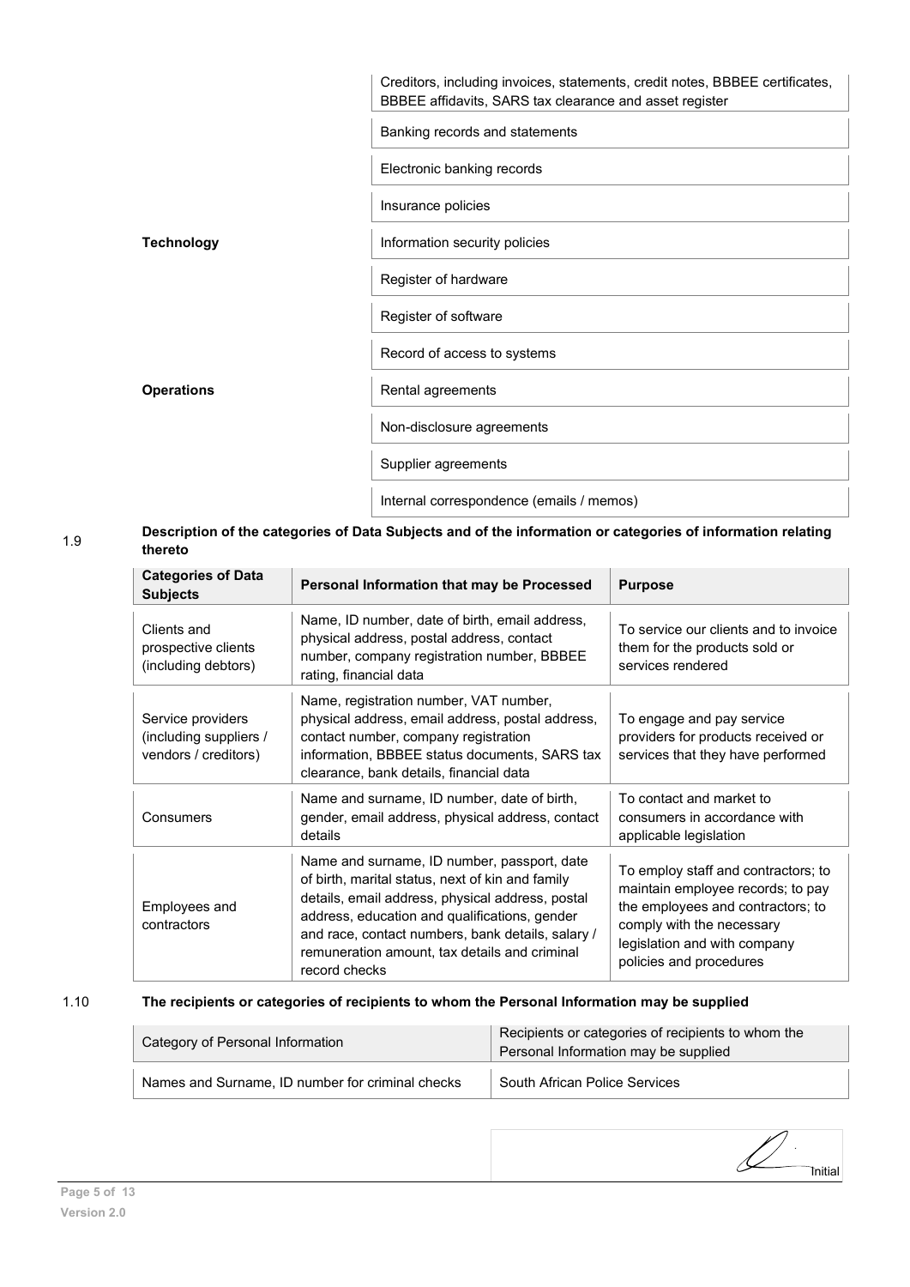|                   | Creditors, including invoices, statements, credit notes, BBBEE certificates,<br>BBBEE affidavits, SARS tax clearance and asset register |
|-------------------|-----------------------------------------------------------------------------------------------------------------------------------------|
|                   | Banking records and statements                                                                                                          |
|                   | Electronic banking records                                                                                                              |
|                   | Insurance policies                                                                                                                      |
| Technology        | Information security policies                                                                                                           |
|                   | Register of hardware                                                                                                                    |
|                   | Register of software                                                                                                                    |
|                   | Record of access to systems                                                                                                             |
| <b>Operations</b> | Rental agreements                                                                                                                       |
|                   | Non-disclosure agreements                                                                                                               |
|                   | Supplier agreements                                                                                                                     |
|                   | Internal correspondence (emails / memos)                                                                                                |

# 1.9 **Description of the categories of Data Subjects and of the information or categories of information relating thereto**

| <b>Categories of Data</b><br><b>Subjects</b>                        | Personal Information that may be Processed                                                                                                                                                                                                                                                                                  | <b>Purpose</b>                                                                                                                                                                                        |
|---------------------------------------------------------------------|-----------------------------------------------------------------------------------------------------------------------------------------------------------------------------------------------------------------------------------------------------------------------------------------------------------------------------|-------------------------------------------------------------------------------------------------------------------------------------------------------------------------------------------------------|
| Clients and<br>prospective clients<br>(including debtors)           | Name, ID number, date of birth, email address,<br>physical address, postal address, contact<br>number, company registration number, BBBEE<br>rating, financial data                                                                                                                                                         | To service our clients and to invoice<br>them for the products sold or<br>services rendered                                                                                                           |
| Service providers<br>(including suppliers /<br>vendors / creditors) | Name, registration number, VAT number,<br>physical address, email address, postal address,<br>contact number, company registration<br>information, BBBEE status documents, SARS tax<br>clearance, bank details, financial data                                                                                              | To engage and pay service<br>providers for products received or<br>services that they have performed                                                                                                  |
| Consumers                                                           | Name and surname, ID number, date of birth,<br>gender, email address, physical address, contact<br>details                                                                                                                                                                                                                  | To contact and market to<br>consumers in accordance with<br>applicable legislation                                                                                                                    |
| Employees and<br>contractors                                        | Name and surname, ID number, passport, date<br>of birth, marital status, next of kin and family<br>details, email address, physical address, postal<br>address, education and qualifications, gender<br>and race, contact numbers, bank details, salary /<br>remuneration amount, tax details and criminal<br>record checks | To employ staff and contractors; to<br>maintain employee records; to pay<br>the employees and contractors; to<br>comply with the necessary<br>legislation and with company<br>policies and procedures |

# 1.10 **The recipients or categories of recipients to whom the Personal Information may be supplied**

| Category of Personal Information                 | Recipients or categories of recipients to whom the<br>Personal Information may be supplied |  |
|--------------------------------------------------|--------------------------------------------------------------------------------------------|--|
| Names and Surname, ID number for criminal checks | South African Police Services                                                              |  |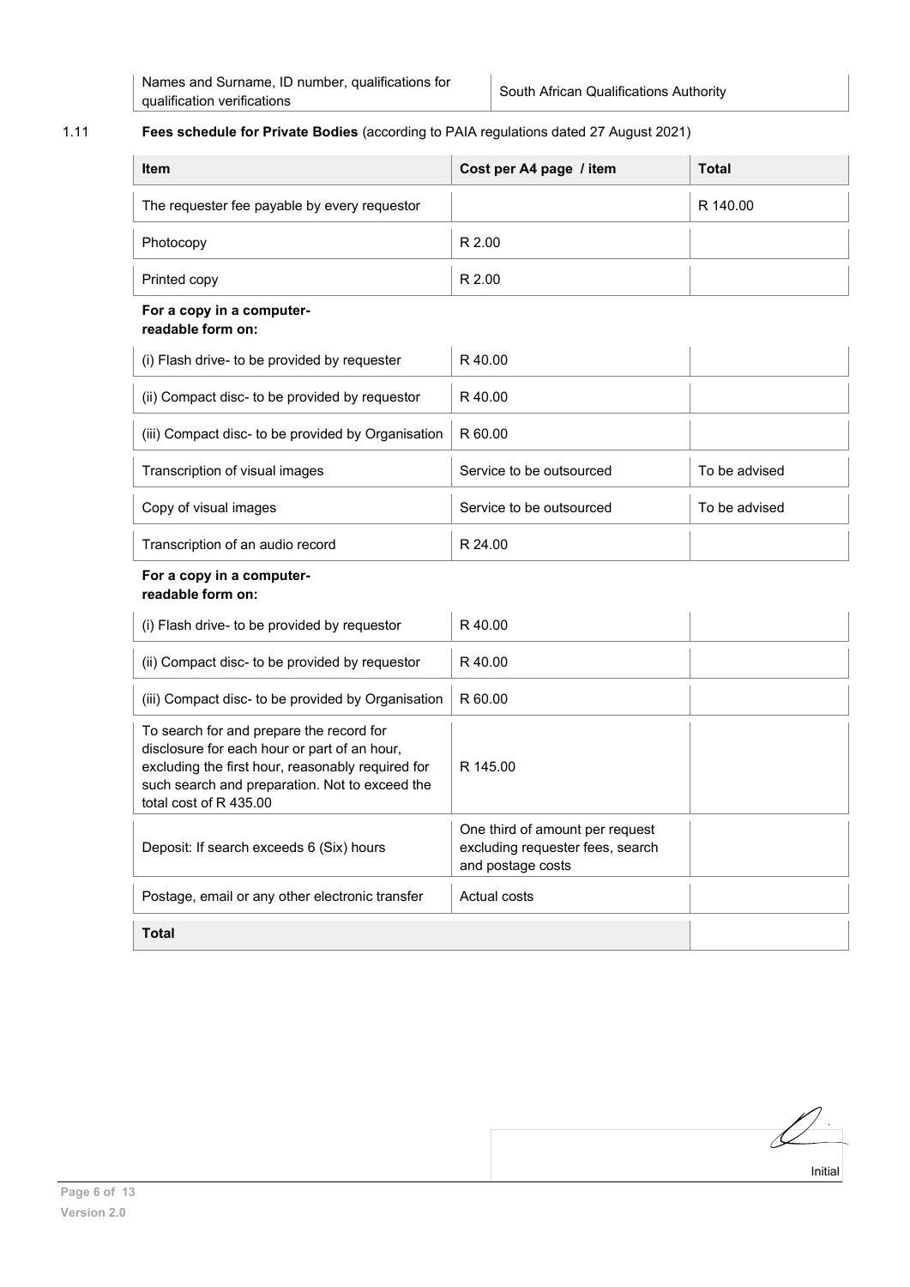# 1.11 **Fees schedule for Private Bodies** (according to PAIA regulations dated 27 August 2021)

| <b>Item</b>                                                                                                                                                                                                               | Cost per A4 page / item                                                                  | <b>Total</b>  |  |
|---------------------------------------------------------------------------------------------------------------------------------------------------------------------------------------------------------------------------|------------------------------------------------------------------------------------------|---------------|--|
| The requester fee payable by every requestor                                                                                                                                                                              |                                                                                          | R 140.00      |  |
| Photocopy                                                                                                                                                                                                                 | R 2.00                                                                                   |               |  |
| Printed copy                                                                                                                                                                                                              | R 2.00                                                                                   |               |  |
| For a copy in a computer-<br>readable form on:                                                                                                                                                                            |                                                                                          |               |  |
| (i) Flash drive- to be provided by requester                                                                                                                                                                              | R40.00                                                                                   |               |  |
| (ii) Compact disc- to be provided by requestor                                                                                                                                                                            | R40.00                                                                                   |               |  |
| (iii) Compact disc- to be provided by Organisation                                                                                                                                                                        | R 60.00                                                                                  |               |  |
| Transcription of visual images                                                                                                                                                                                            | Service to be outsourced                                                                 | To be advised |  |
| Copy of visual images                                                                                                                                                                                                     | Service to be outsourced                                                                 | To be advised |  |
| Transcription of an audio record                                                                                                                                                                                          | R 24.00                                                                                  |               |  |
| For a copy in a computer-<br>readable form on:                                                                                                                                                                            |                                                                                          |               |  |
| (i) Flash drive- to be provided by requestor                                                                                                                                                                              | R 40.00                                                                                  |               |  |
| (ii) Compact disc- to be provided by requestor                                                                                                                                                                            | R40.00                                                                                   |               |  |
| (iii) Compact disc- to be provided by Organisation                                                                                                                                                                        | R 60.00                                                                                  |               |  |
| To search for and prepare the record for<br>disclosure for each hour or part of an hour,<br>excluding the first hour, reasonably required for<br>such search and preparation. Not to exceed the<br>total cost of R 435.00 | R 145.00                                                                                 |               |  |
| Deposit: If search exceeds 6 (Six) hours                                                                                                                                                                                  | One third of amount per request<br>excluding requester fees, search<br>and postage costs |               |  |
| Postage, email or any other electronic transfer                                                                                                                                                                           | Actual costs                                                                             |               |  |
| <b>Total</b>                                                                                                                                                                                                              |                                                                                          |               |  |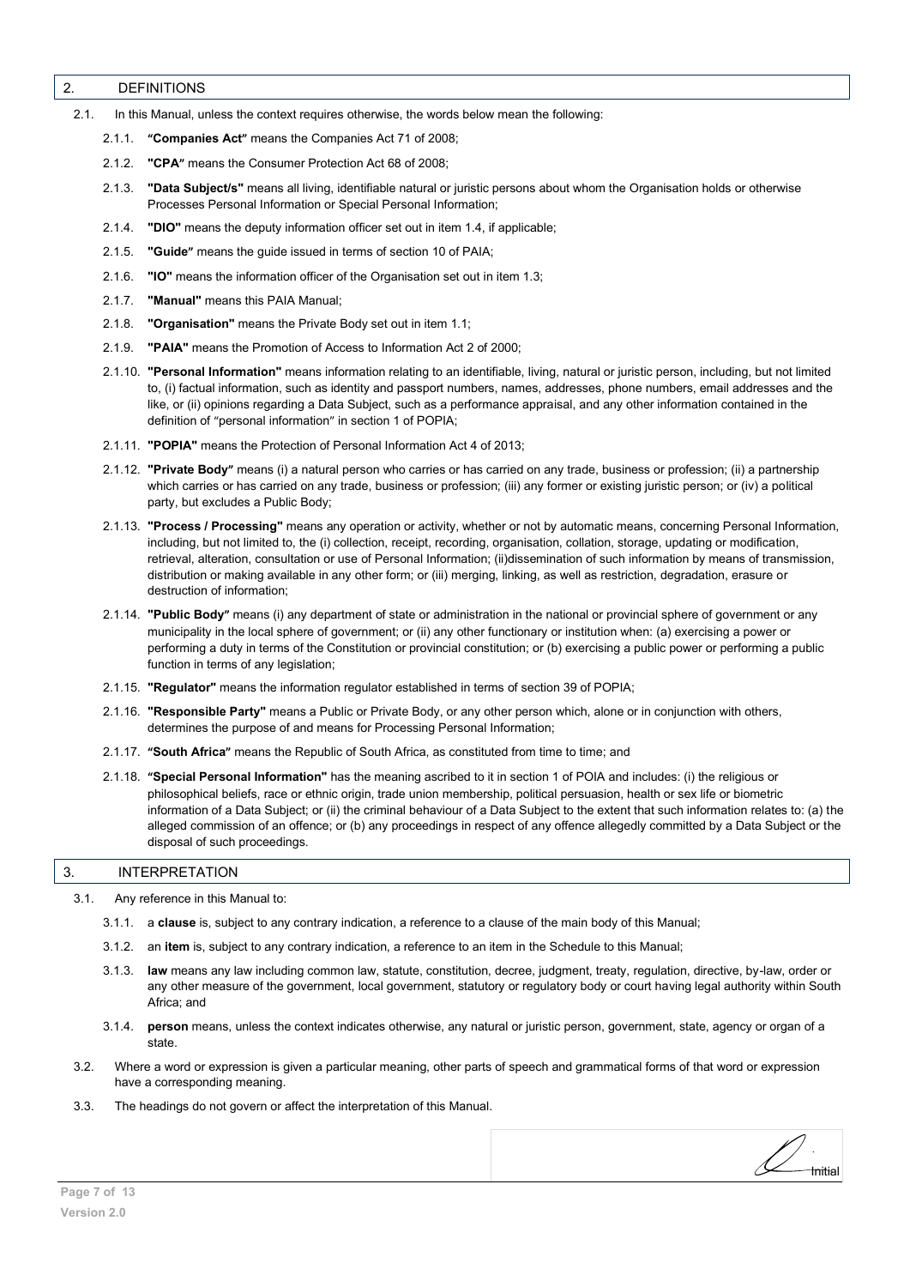#### <span id="page-6-0"></span>2. DEFINITIONS

- 2.1. In this Manual, unless the context requires otherwise, the words below mean the following:
	- 2.1.1. **"Companies Act"** means the Companies Act 71 of 2008;
	- 2.1.2. "CPA" means the Consumer Protection Act 68 of 2008;
	- 2.1.3. **"Data Subject/s"** means all living, identifiable natural or juristic persons about whom the Organisation holds or otherwise Processes Personal Information or Special Personal Information;
	- 2.1.4. **"DIO"** means the deputy information officer set out in item 1.4, if applicable;
	- 2.1.5. **"Guide"** means the guide issued in terms of section 10 of PAIA;
	- 2.1.6. **"IO"** means the information officer of the Organisation set out in item 1.3;
	- 2.1.7. **"Manual"** means this PAIA Manual;
	- 2.1.8. **"Organisation"** means the Private Body set out in item 1.1;
	- 2.1.9. **"PAIA"** means the Promotion of Access to Information Act 2 of 2000;
	- 2.1.10. **"Personal Information"** means information relating to an identifiable, living, natural or juristic person, including, but not limited to, (i) factual information, such as identity and passport numbers, names, addresses, phone numbers, email addresses and the like, or (ii) opinions regarding a Data Subject, such as a performance appraisal, and any other information contained in the definition of "personal information" in section 1 of POPIA;
	- 2.1.11. **"POPIA"** means the Protection of Personal Information Act 4 of 2013;
	- 2.1.12. "Private Body" means (i) a natural person who carries or has carried on any trade, business or profession; (ii) a partnership which carries or has carried on any trade, business or profession; (iii) any former or existing juristic person; or (iv) a political party, but excludes a Public Body;
	- 2.1.13. **"Process / Processing"** means any operation or activity, whether or not by automatic means, concerning Personal Information, including, but not limited to, the (i) collection, receipt, recording, organisation, collation, storage, updating or modification, retrieval, alteration, consultation or use of Personal Information; (ii)dissemination of such information by means of transmission, distribution or making available in any other form; or (iii) merging, linking, as well as restriction, degradation, erasure or destruction of information;
	- 2.1.14. **"Public Body**" means (i) any department of state or administration in the national or provincial sphere of government or any municipality in the local sphere of government; or (ii) any other functionary or institution when: (a) exercising a power or performing a duty in terms of the Constitution or provincial constitution; or (b) exercising a public power or performing a public function in terms of any legislation;
	- 2.1.15. **"Regulator"** means the information regulator established in terms of section 39 of POPIA;
	- 2.1.16. **"Responsible Party"** means a Public or Private Body, or any other person which, alone or in conjunction with others, determines the purpose of and means for Processing Personal Information;
	- 2.1.17. **͞South Africa͟** means the Republic of South Africa, as constituted from time to time; and
	- 2.1.18. **͞Special Personal Information"** has the meaning ascribed to it in section 1 of POIA and includes: (i) the religious or philosophical beliefs, race or ethnic origin, trade union membership, political persuasion, health or sex life or biometric information of a Data Subject; or (ii) the criminal behaviour of a Data Subject to the extent that such information relates to: (a) the alleged commission of an offence; or (b) any proceedings in respect of any offence allegedly committed by a Data Subject or the disposal of such proceedings.

#### <span id="page-6-1"></span>3. INTERPRETATION

3.1. Any reference in this Manual to:

- 3.1.1. a **clause** is, subject to any contrary indication, a reference to a clause of the main body of this Manual;
- 3.1.2. an **item** is, subject to any contrary indication, a reference to an item in the Schedule to this Manual;
- 3.1.3. **law** means any law including common law, statute, constitution, decree, judgment, treaty, regulation, directive, by-law, order or any other measure of the government, local government, statutory or regulatory body or court having legal authority within South Africa; and

Initial

- 3.1.4. **person** means, unless the context indicates otherwise, any natural or juristic person, government, state, agency or organ of a state.
- 3.2. Where a word or expression is given a particular meaning, other parts of speech and grammatical forms of that word or expression have a corresponding meaning.
- 3.3. The headings do not govern or affect the interpretation of this Manual.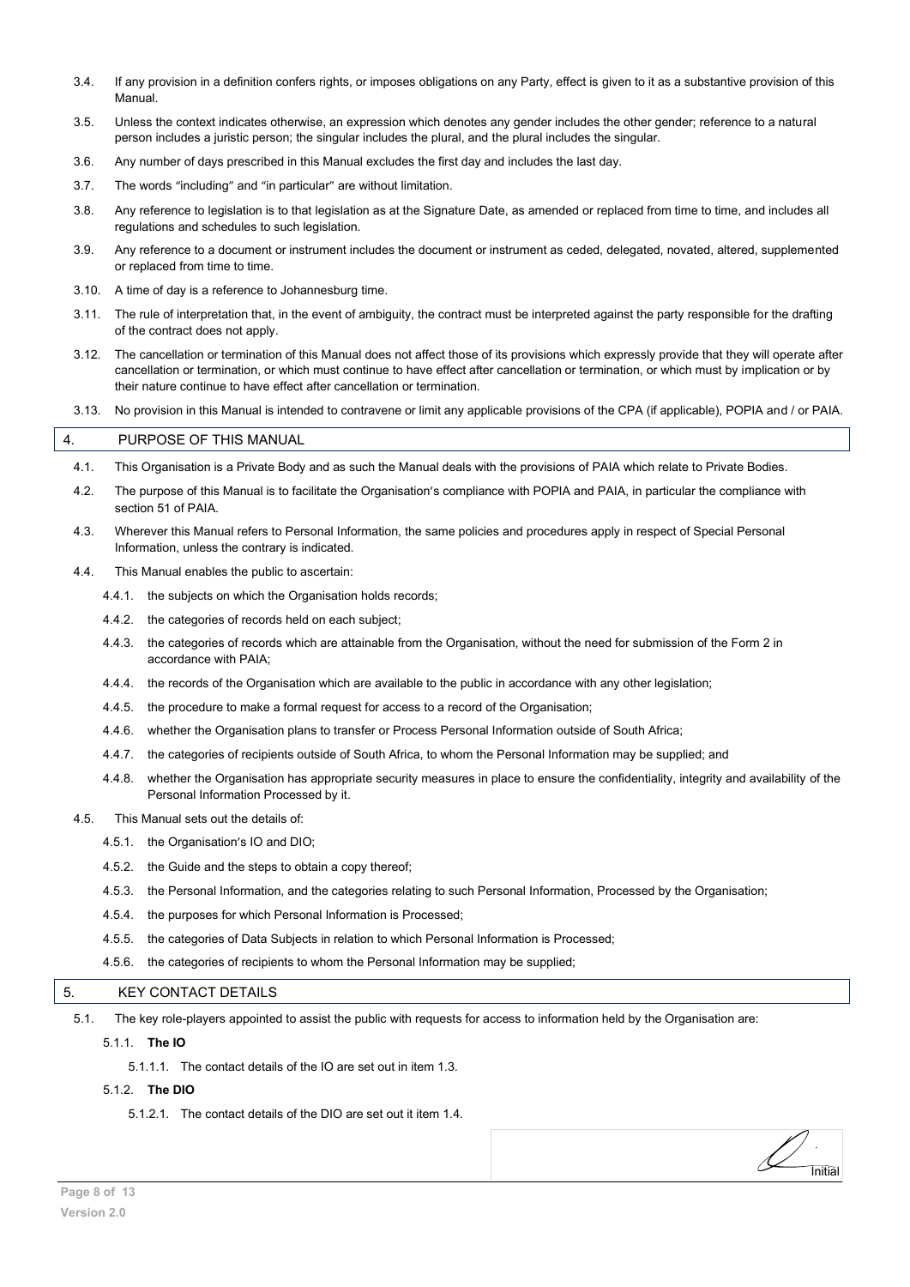- 3.4. If any provision in a definition confers rights, or imposes obligations on any Party, effect is given to it as a substantive provision of this Manual.
- 3.5. Unless the context indicates otherwise, an expression which denotes any gender includes the other gender; reference to a natural person includes a juristic person; the singular includes the plural, and the plural includes the singular.
- 3.6. Any number of days prescribed in this Manual excludes the first day and includes the last day.
- 3.7. The words "including" and "in particular" are without limitation.
- 3.8. Any reference to legislation is to that legislation as at the Signature Date, as amended or replaced from time to time, and includes all regulations and schedules to such legislation.
- 3.9. Any reference to a document or instrument includes the document or instrument as ceded, delegated, novated, altered, supplemented or replaced from time to time.
- 3.10. A time of day is a reference to Johannesburg time.
- 3.11. The rule of interpretation that, in the event of ambiguity, the contract must be interpreted against the party responsible for the drafting of the contract does not apply.
- 3.12. The cancellation or termination of this Manual does not affect those of its provisions which expressly provide that they will operate after cancellation or termination, or which must continue to have effect after cancellation or termination, or which must by implication or by their nature continue to have effect after cancellation or termination.
- 3.13. No provision in this Manual is intended to contravene or limit any applicable provisions of the CPA (if applicable), POPIA and / or PAIA.

#### <span id="page-7-0"></span>4. PURPOSE OF THIS MANUAL

- 4.1. This Organisation is a Private Body and as such the Manual deals with the provisions of PAIA which relate to Private Bodies.
- 4.2. The purpose of this Manual is to facilitate the Organisation's compliance with POPIA and PAIA, in particular the compliance with section 51 of PAIA
- 4.3. Wherever this Manual refers to Personal Information, the same policies and procedures apply in respect of Special Personal Information, unless the contrary is indicated.
- 4.4. This Manual enables the public to ascertain:
	- 4.4.1. the subjects on which the Organisation holds records;
	- 4.4.2. the categories of records held on each subject;
	- 4.4.3. the categories of records which are attainable from the Organisation, without the need for submission of the Form 2 in accordance with PAIA;
	- 4.4.4. the records of the Organisation which are available to the public in accordance with any other legislation;
	- 4.4.5. the procedure to make a formal request for access to a record of the Organisation;
	- 4.4.6. whether the Organisation plans to transfer or Process Personal Information outside of South Africa;
	- 4.4.7. the categories of recipients outside of South Africa, to whom the Personal Information may be supplied; and
	- 4.4.8. whether the Organisation has appropriate security measures in place to ensure the confidentiality, integrity and availability of the Personal Information Processed by it.

**Initial** 

- 4.5. This Manual sets out the details of:
	- 4.5.1. the Organisation's IO and DIO;
	- 4.5.2. the Guide and the steps to obtain a copy thereof;
	- 4.5.3. the Personal Information, and the categories relating to such Personal Information, Processed by the Organisation;
	- 4.5.4. the purposes for which Personal Information is Processed;
	- 4.5.5. the categories of Data Subjects in relation to which Personal Information is Processed;
	- 4.5.6. the categories of recipients to whom the Personal Information may be supplied;

#### <span id="page-7-1"></span>5. KEY CONTACT DETAILS

- 5.1. The key role-players appointed to assist the public with requests for access to information held by the Organisation are:
	- 5.1.1. **The IO**
		- 5.1.1.1. The contact details of the IO are set out in item 1.3.

#### 5.1.2. **The DIO**

5.1.2.1. The contact details of the DIO are set out it item 1.4.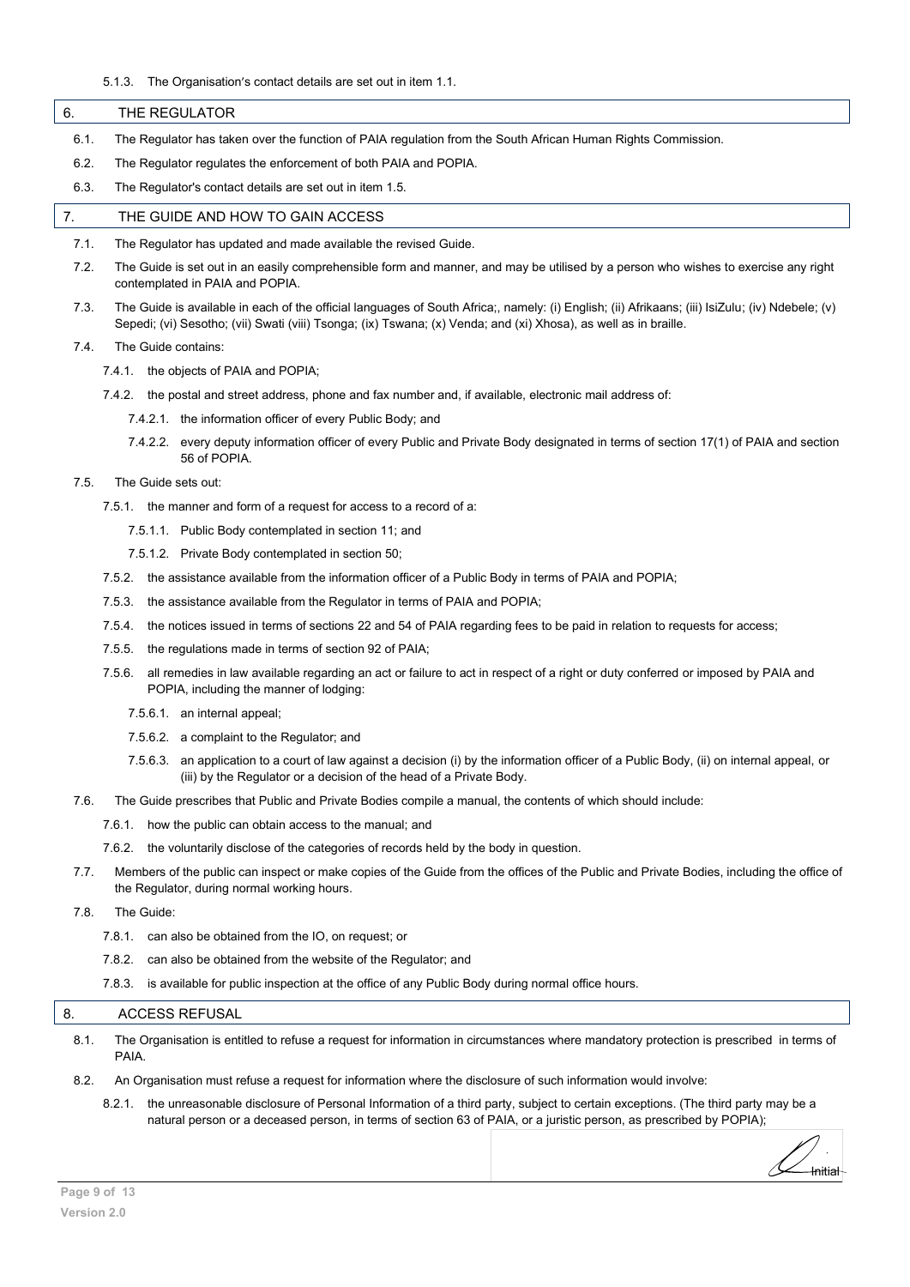#### 5.1.3. The Organisation's contact details are set out in item 1.1.

<span id="page-8-1"></span><span id="page-8-0"></span>

| 6.   | THE REGULATOR                                                                                                                                                                                                                                                        |
|------|----------------------------------------------------------------------------------------------------------------------------------------------------------------------------------------------------------------------------------------------------------------------|
| 6.1. | The Regulator has taken over the function of PAIA regulation from the South African Human Rights Commission.                                                                                                                                                         |
| 6.2. | The Regulator regulates the enforcement of both PAIA and POPIA.                                                                                                                                                                                                      |
| 6.3. | The Regulator's contact details are set out in item 1.5.                                                                                                                                                                                                             |
| 7.   | THE GUIDE AND HOW TO GAIN ACCESS                                                                                                                                                                                                                                     |
| 7.1. | The Regulator has updated and made available the revised Guide.                                                                                                                                                                                                      |
| 7.2. | The Guide is set out in an easily comprehensible form and manner, and may be utilised by a person who wishes to exercise any right<br>contemplated in PAIA and POPIA.                                                                                                |
| 7.3. | The Guide is available in each of the official languages of South Africa;, namely: (i) English; (ii) Afrikaans; (iii) IsiZulu; (iv) Ndebele; (v)<br>Sepedi; (vi) Sesotho; (vii) Swati (viii) Tsonga; (ix) Tswana; (x) Venda; and (xi) Xhosa), as well as in braille. |

7.4. The Guide contains:

- 7.4.1. the objects of PAIA and POPIA;
- 7.4.2. the postal and street address, phone and fax number and, if available, electronic mail address of:
	- 7.4.2.1. the information officer of every Public Body; and
	- 7.4.2.2. every deputy information officer of every Public and Private Body designated in terms of section 17(1) of PAIA and section 56 of POPIA.
- 7.5. The Guide sets out:
	- 7.5.1. the manner and form of a request for access to a record of a:
		- 7.5.1.1. Public Body contemplated in section 11; and
		- 7.5.1.2. Private Body contemplated in section 50;
	- 7.5.2. the assistance available from the information officer of a Public Body in terms of PAIA and POPIA;
	- 7.5.3. the assistance available from the Regulator in terms of PAIA and POPIA;
	- 7.5.4. the notices issued in terms of sections 22 and 54 of PAIA regarding fees to be paid in relation to requests for access;
	- 7.5.5. the regulations made in terms of section 92 of PAIA;
	- 7.5.6. all remedies in law available regarding an act or failure to act in respect of a right or duty conferred or imposed by PAIA and POPIA, including the manner of lodging:
		- 7.5.6.1. an internal appeal;
		- 7.5.6.2. a complaint to the Regulator; and
		- 7.5.6.3. an application to a court of law against a decision (i) by the information officer of a Public Body, (ii) on internal appeal, or (iii) by the Regulator or a decision of the head of a Private Body.
- 7.6. The Guide prescribes that Public and Private Bodies compile a manual, the contents of which should include:
	- 7.6.1. how the public can obtain access to the manual; and
	- 7.6.2. the voluntarily disclose of the categories of records held by the body in question.
- 7.7. Members of the public can inspect or make copies of the Guide from the offices of the Public and Private Bodies, including the office of the Regulator, during normal working hours.
- 7.8. The Guide:
	- 7.8.1. can also be obtained from the IO, on request; or
	- 7.8.2. can also be obtained from the website of the Regulator; and
	- 7.8.3. is available for public inspection at the office of any Public Body during normal office hours.

# <span id="page-8-2"></span>8. ACCESS REFUSAL

- 8.1. The Organisation is entitled to refuse a request for information in circumstances where mandatory protection is prescribed in terms of PAIA.
- 8.2. An Organisation must refuse a request for information where the disclosure of such information would involve:
	- 8.2.1. the unreasonable disclosure of Personal Information of a third party, subject to certain exceptions. (The third party may be a natural person or a deceased person, in terms of section 63 of PAIA, or a juristic person, as prescribed by POPIA);

Initial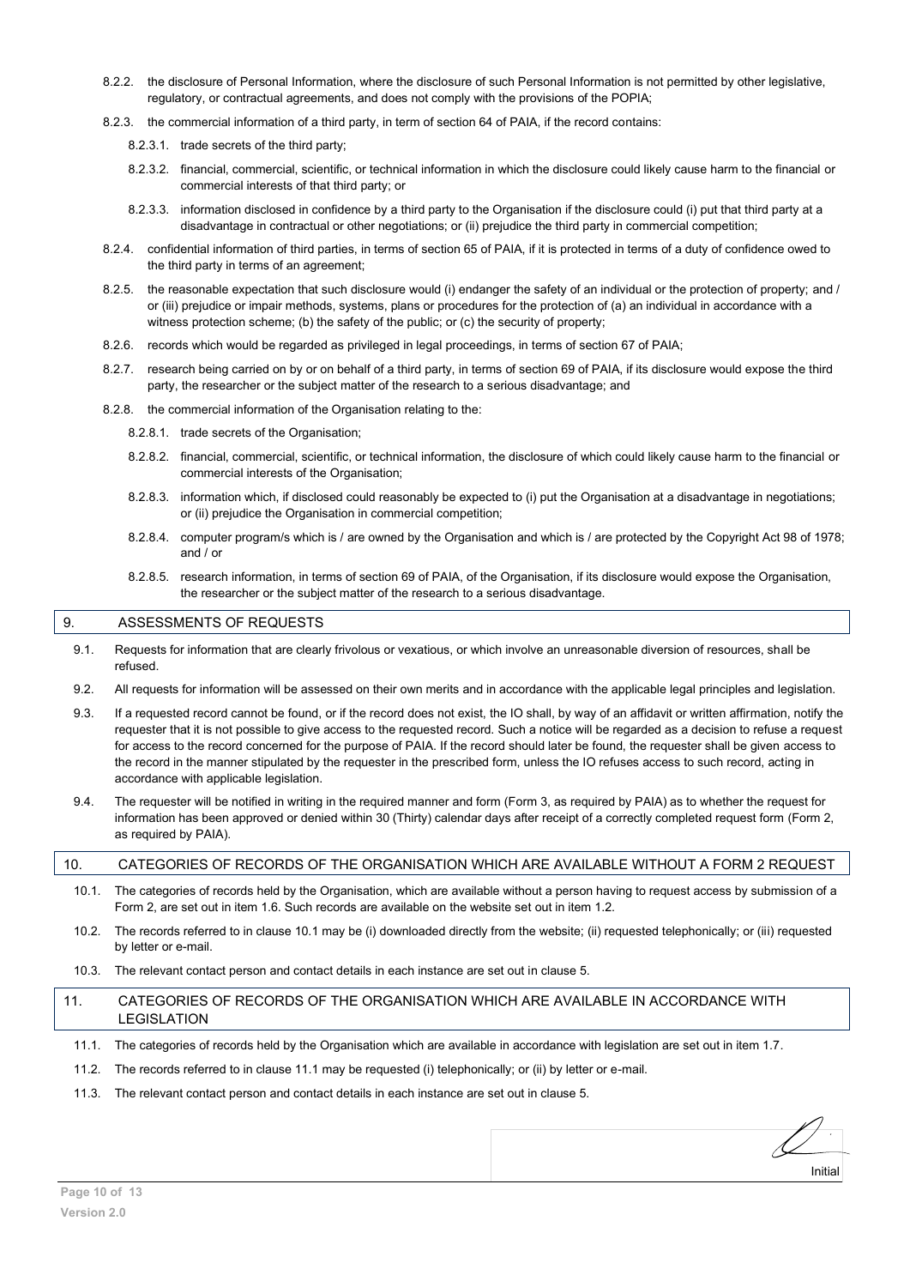- 8.2.2. the disclosure of Personal Information, where the disclosure of such Personal Information is not permitted by other legislative, regulatory, or contractual agreements, and does not comply with the provisions of the POPIA;
- 8.2.3. the commercial information of a third party, in term of section 64 of PAIA, if the record contains:

8.2.3.1. trade secrets of the third party;

- 8.2.3.2. financial, commercial, scientific, or technical information in which the disclosure could likely cause harm to the financial or commercial interests of that third party; or
- 8.2.3.3. information disclosed in confidence by a third party to the Organisation if the disclosure could (i) put that third party at a disadvantage in contractual or other negotiations; or (ii) prejudice the third party in commercial competition;
- 8.2.4. confidential information of third parties, in terms of section 65 of PAIA, if it is protected in terms of a duty of confidence owed to the third party in terms of an agreement;
- 8.2.5. the reasonable expectation that such disclosure would (i) endanger the safety of an individual or the protection of property; and / or (iii) prejudice or impair methods, systems, plans or procedures for the protection of (a) an individual in accordance with a witness protection scheme; (b) the safety of the public; or (c) the security of property;
- 8.2.6. records which would be regarded as privileged in legal proceedings, in terms of section 67 of PAIA;
- 8.2.7. research being carried on by or on behalf of a third party, in terms of section 69 of PAIA, if its disclosure would expose the third party, the researcher or the subject matter of the research to a serious disadvantage; and
- 8.2.8. the commercial information of the Organisation relating to the:
	- 8.2.8.1. trade secrets of the Organisation;
	- 8.2.8.2. financial, commercial, scientific, or technical information, the disclosure of which could likely cause harm to the financial or commercial interests of the Organisation;
	- 8.2.8.3. information which, if disclosed could reasonably be expected to (i) put the Organisation at a disadvantage in negotiations; or (ii) prejudice the Organisation in commercial competition;
	- 8.2.8.4. computer program/s which is / are owned by the Organisation and which is / are protected by the Copyright Act 98 of 1978; and / or
	- 8.2.8.5. research information, in terms of section 69 of PAIA, of the Organisation, if its disclosure would expose the Organisation, the researcher or the subject matter of the research to a serious disadvantage.

#### <span id="page-9-0"></span>9. ASSESSMENTS OF REQUESTS

- 9.1. Requests for information that are clearly frivolous or vexatious, or which involve an unreasonable diversion of resources, shall be refused.
- 9.2. All requests for information will be assessed on their own merits and in accordance with the applicable legal principles and legislation.
- 9.3. If a requested record cannot be found, or if the record does not exist, the IO shall, by way of an affidavit or written affirmation, notify the requester that it is not possible to give access to the requested record. Such a notice will be regarded as a decision to refuse a request for access to the record concerned for the purpose of PAIA. If the record should later be found, the requester shall be given access to the record in the manner stipulated by the requester in the prescribed form, unless the IO refuses access to such record, acting in accordance with applicable legislation.
- 9.4. The requester will be notified in writing in the required manner and form (Form 3, as required by PAIA) as to whether the request for information has been approved or denied within 30 (Thirty) calendar days after receipt of a correctly completed request form (Form 2, as required by PAIA).

## <span id="page-9-1"></span>10. CATEGORIES OF RECORDS OF THE ORGANISATION WHICH ARE AVAILABLE WITHOUT A FORM 2 REQUEST

- 10.1. The categories of records held by the Organisation, which are available without a person having to request access by submission of a Form 2, are set out in item 1.6. Such records are available on the website set out in item 1.2.
- 10.2. The records referred to in clause 10.1 may be (i) downloaded directly from the website; (ii) requested telephonically; or (iii) requested by letter or e-mail.
- 10.3. The relevant contact person and contact details in each instance are set out in clause 5.
- <span id="page-9-2"></span>11. CATEGORIES OF RECORDS OF THE ORGANISATION WHICH ARE AVAILABLE IN ACCORDANCE WITH LEGISLATION
	- 11.1. The categories of records held by the Organisation which are available in accordance with legislation are set out in item 1.7.
	- 11.2. The records referred to in clause 11.1 may be requested (i) telephonically; or (ii) by letter or e-mail.
	- 11.3. The relevant contact person and contact details in each instance are set out in clause 5.

Initial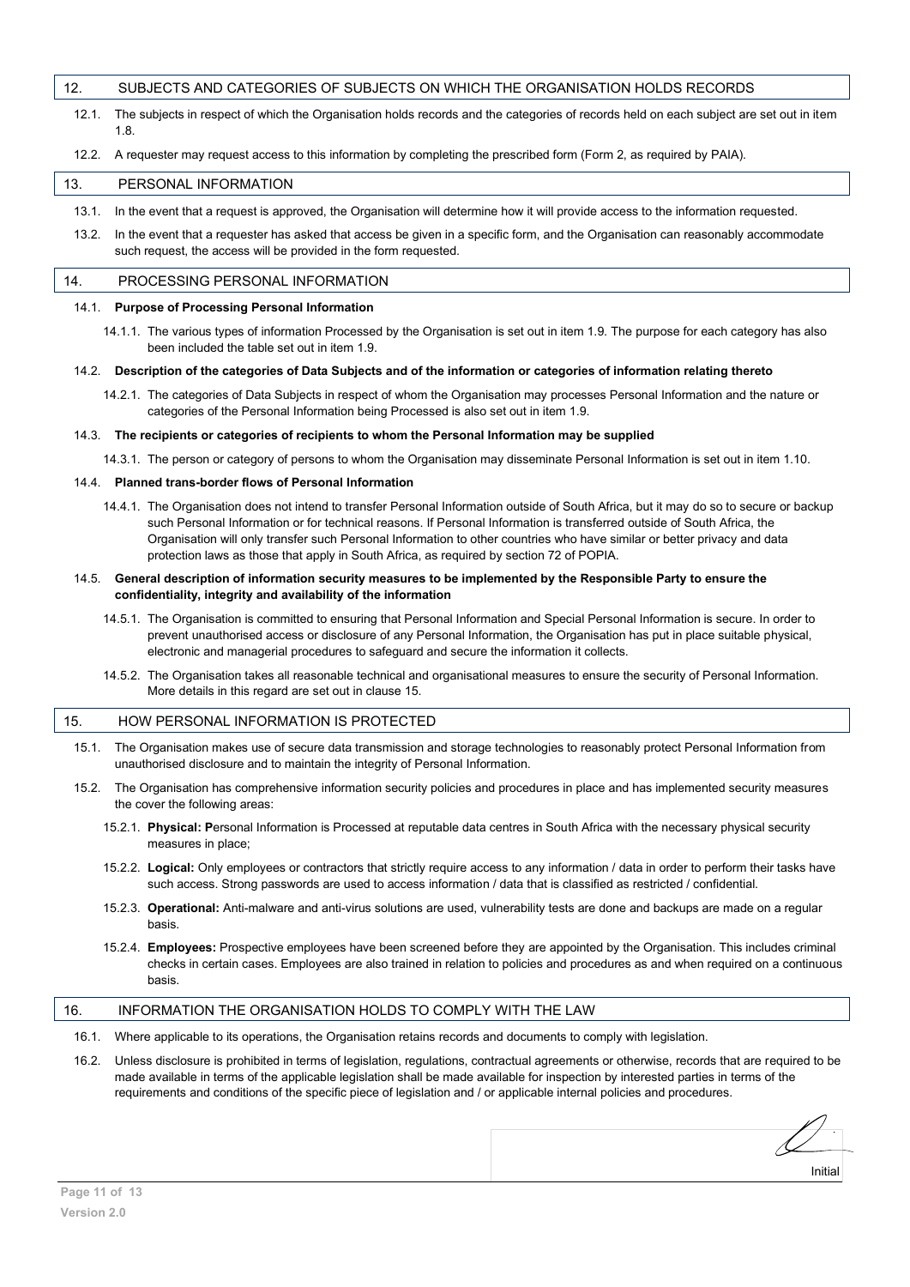#### <span id="page-10-0"></span>12. SUBJECTS AND CATEGORIES OF SUBJECTS ON WHICH THE ORGANISATION HOLDS RECORDS

12.1. The subjects in respect of which the Organisation holds records and the categories of records held on each subject are set out in item 1.8.

#### 12.2. A requester may request access to this information by completing the prescribed form (Form 2, as required by PAIA).

#### <span id="page-10-1"></span>13. PERSONAL INFORMATION

- 13.1. In the event that a request is approved, the Organisation will determine how it will provide access to the information requested.
- 13.2. In the event that a requester has asked that access be given in a specific form, and the Organisation can reasonably accommodate such request, the access will be provided in the form requested.

#### <span id="page-10-2"></span>14. PROCESSING PERSONAL INFORMATION

#### 14.1. **Purpose of Processing Personal Information**

14.1.1. The various types of information Processed by the Organisation is set out in item 1.9. The purpose for each category has also been included the table set out in item 1.9.

#### 14.2. **Description of the categories of Data Subjects and of the information or categories of information relating thereto**

14.2.1. The categories of Data Subjects in respect of whom the Organisation may processes Personal Information and the nature or categories of the Personal Information being Processed is also set out in item 1.9.

#### 14.3. **The recipients or categories of recipients to whom the Personal Information may be supplied**

14.3.1. The person or category of persons to whom the Organisation may disseminate Personal Information is set out in item 1.10.

#### 14.4. **Planned trans-border flows of Personal Information**

14.4.1. The Organisation does not intend to transfer Personal Information outside of South Africa, but it may do so to secure or backup such Personal Information or for technical reasons. If Personal Information is transferred outside of South Africa, the Organisation will only transfer such Personal Information to other countries who have similar or better privacy and data protection laws as those that apply in South Africa, as required by section 72 of POPIA.

#### 14.5. **General description of information security measures to be implemented by the Responsible Party to ensure the confidentiality, integrity and availability of the information**

- 14.5.1. The Organisation is committed to ensuring that Personal Information and Special Personal Information is secure. In order to prevent unauthorised access or disclosure of any Personal Information, the Organisation has put in place suitable physical, electronic and managerial procedures to safeguard and secure the information it collects.
- 14.5.2. The Organisation takes all reasonable technical and organisational measures to ensure the security of Personal Information. More details in this regard are set out in clause 15.

### <span id="page-10-3"></span>15. HOW PERSONAL INFORMATION IS PROTECTED

- 15.1. The Organisation makes use of secure data transmission and storage technologies to reasonably protect Personal Information from unauthorised disclosure and to maintain the integrity of Personal Information.
- 15.2. The Organisation has comprehensive information security policies and procedures in place and has implemented security measures the cover the following areas:
	- 15.2.1. **Physical: P**ersonal Information is Processed at reputable data centres in South Africa with the necessary physical security measures in place;
	- 15.2.2. **Logical:** Only employees or contractors that strictly require access to any information / data in order to perform their tasks have such access. Strong passwords are used to access information / data that is classified as restricted / confidential.
	- 15.2.3. **Operational:** Anti-malware and anti-virus solutions are used, vulnerability tests are done and backups are made on a regular basis.
	- 15.2.4. **Employees:** Prospective employees have been screened before they are appointed by the Organisation. This includes criminal checks in certain cases. Employees are also trained in relation to policies and procedures as and when required on a continuous basis.

### <span id="page-10-4"></span>16. INFORMATION THE ORGANISATION HOLDS TO COMPLY WITH THE LAW

- 16.1. Where applicable to its operations, the Organisation retains records and documents to comply with legislation.
- 16.2. Unless disclosure is prohibited in terms of legislation, regulations, contractual agreements or otherwise, records that are required to be made available in terms of the applicable legislation shall be made available for inspection by interested parties in terms of the requirements and conditions of the specific piece of legislation and / or applicable internal policies and procedures.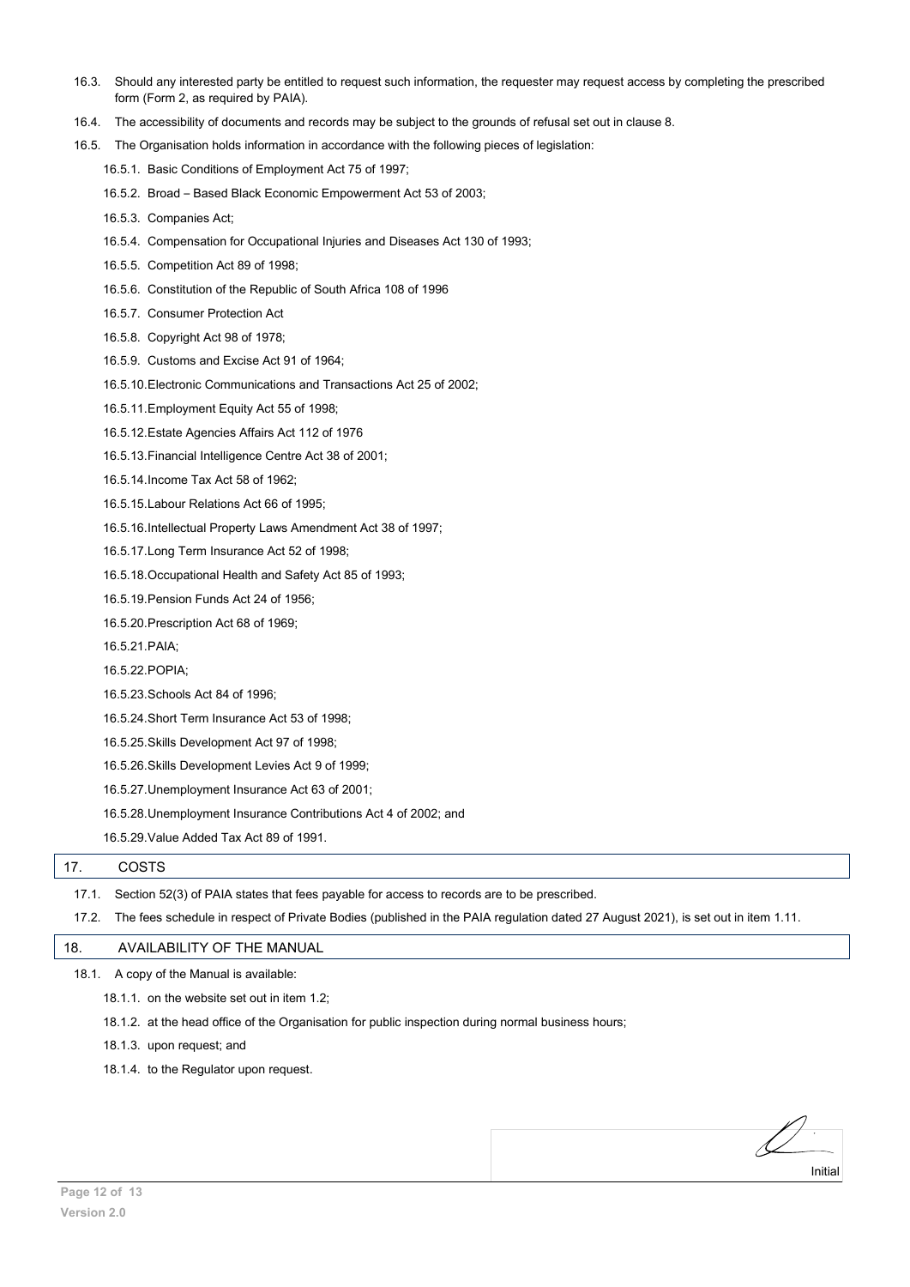- 16.3. Should any interested party be entitled to request such information, the requester may request access by completing the prescribed form (Form 2, as required by PAIA).
- 16.4. The accessibility of documents and records may be subject to the grounds of refusal set out in clause 8.
- 16.5. The Organisation holds information in accordance with the following pieces of legislation:
	- 16.5.1. Basic Conditions of Employment Act 75 of 1997;
	- 16.5.2. Broad Based Black Economic Empowerment Act 53 of 2003;
	- 16.5.3. Companies Act;
	- 16.5.4. Compensation for Occupational Injuries and Diseases Act 130 of 1993;
	- 16.5.5. Competition Act 89 of 1998;
	- 16.5.6. Constitution of the Republic of South Africa 108 of 1996
	- 16.5.7. Consumer Protection Act
	- 16.5.8. Copyright Act 98 of 1978;
	- 16.5.9. Customs and Excise Act 91 of 1964;
	- 16.5.10.Electronic Communications and Transactions Act 25 of 2002;
	- 16.5.11.Employment Equity Act 55 of 1998;
	- 16.5.12.Estate Agencies Affairs Act 112 of 1976
	- 16.5.13.Financial Intelligence Centre Act 38 of 2001;
	- 16.5.14.Income Tax Act 58 of 1962;
	- 16.5.15.Labour Relations Act 66 of 1995;
	- 16.5.16.Intellectual Property Laws Amendment Act 38 of 1997;
	- 16.5.17.Long Term Insurance Act 52 of 1998;
	- 16.5.18.Occupational Health and Safety Act 85 of 1993;
	- 16.5.19.Pension Funds Act 24 of 1956;
	- 16.5.20.Prescription Act 68 of 1969;
	- 16.5.21.PAIA;
	- 16.5.22.POPIA;
	- 16.5.23.Schools Act 84 of 1996;
	- 16.5.24.Short Term Insurance Act 53 of 1998;
	- 16.5.25.Skills Development Act 97 of 1998;
	- 16.5.26.Skills Development Levies Act 9 of 1999;
	- 16.5.27.Unemployment Insurance Act 63 of 2001;
	- 16.5.28.Unemployment Insurance Contributions Act 4 of 2002; and
	- 16.5.29.Value Added Tax Act 89 of 1991.

### <span id="page-11-0"></span>17. COSTS

- 17.1. Section 52(3) of PAIA states that fees payable for access to records are to be prescribed.
- 17.2. The fees schedule in respect of Private Bodies (published in the PAIA regulation dated 27 August 2021), is set out in item 1.11.

Initial

#### <span id="page-11-1"></span>18. AVAILABILITY OF THE MANUAL

- 18.1. A copy of the Manual is available:
	- 18.1.1. on the website set out in item 1.2;
	- 18.1.2. at the head office of the Organisation for public inspection during normal business hours;
	- 18.1.3. upon request; and
	- 18.1.4. to the Regulator upon request.